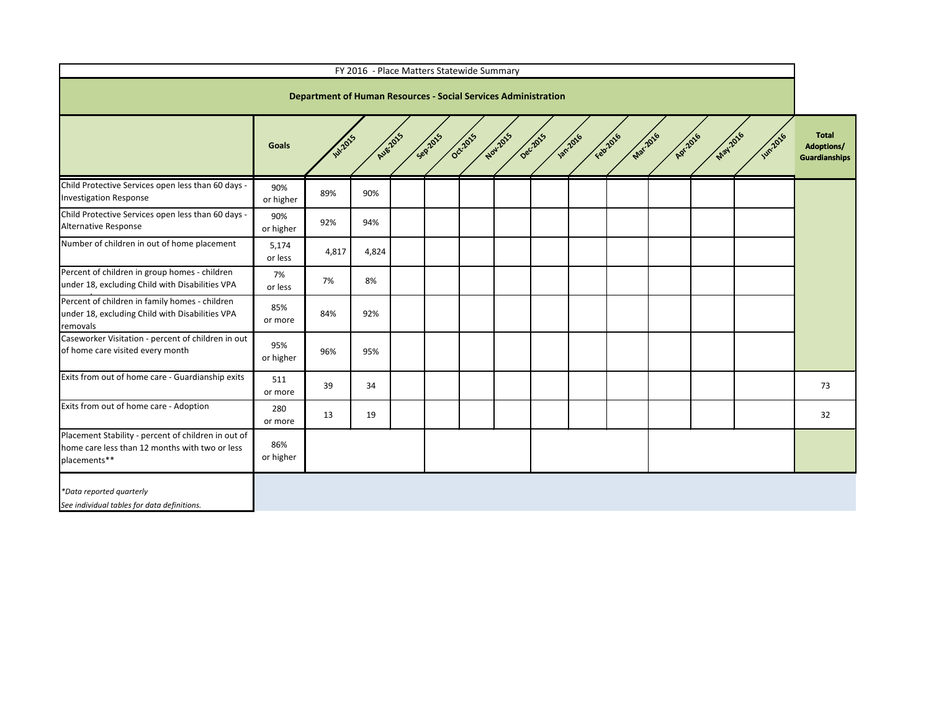| FY 2016 - Place Matters Statewide Summary                                                                             |                  |                                                                       |                 |  |  |  |  |  |  |                                                                |                 |          |                |                                                           |
|-----------------------------------------------------------------------------------------------------------------------|------------------|-----------------------------------------------------------------------|-----------------|--|--|--|--|--|--|----------------------------------------------------------------|-----------------|----------|----------------|-----------------------------------------------------------|
|                                                                                                                       |                  | <b>Department of Human Resources - Social Services Administration</b> |                 |  |  |  |  |  |  |                                                                |                 |          |                |                                                           |
|                                                                                                                       | <b>Goals</b>     | <b>Jul-2015</b>                                                       | <b>Aug 2015</b> |  |  |  |  |  |  | Septents de poi de poi de poi de primer régions des précisions | <b>APY-2016</b> | May-2016 | <b>WIN2016</b> | <b>Total</b><br><b>Adoptions/</b><br><b>Guardianships</b> |
| Child Protective Services open less than 60 days -<br><b>Investigation Response</b>                                   | 90%<br>or higher | 89%                                                                   | 90%             |  |  |  |  |  |  |                                                                |                 |          |                |                                                           |
| Child Protective Services open less than 60 days -<br>Alternative Response                                            | 90%<br>or higher | 92%                                                                   | 94%             |  |  |  |  |  |  |                                                                |                 |          |                |                                                           |
| Number of children in out of home placement                                                                           | 5,174<br>or less | 4,817                                                                 | 4,824           |  |  |  |  |  |  |                                                                |                 |          |                |                                                           |
| Percent of children in group homes - children<br>under 18, excluding Child with Disabilities VPA                      | 7%<br>or less    | 7%                                                                    | 8%              |  |  |  |  |  |  |                                                                |                 |          |                |                                                           |
| Percent of children in family homes - children<br>under 18, excluding Child with Disabilities VPA<br>removals         | 85%<br>or more   | 84%                                                                   | 92%             |  |  |  |  |  |  |                                                                |                 |          |                |                                                           |
| Caseworker Visitation - percent of children in out<br>of home care visited every month                                | 95%<br>or higher | 96%                                                                   | 95%             |  |  |  |  |  |  |                                                                |                 |          |                |                                                           |
| Exits from out of home care - Guardianship exits                                                                      | 511<br>or more   | 39                                                                    | 34              |  |  |  |  |  |  |                                                                |                 |          |                | 73                                                        |
| Exits from out of home care - Adoption                                                                                | 280<br>or more   | 13                                                                    | 19              |  |  |  |  |  |  |                                                                |                 |          |                | 32                                                        |
| Placement Stability - percent of children in out of<br>home care less than 12 months with two or less<br>placements** | 86%<br>or higher |                                                                       |                 |  |  |  |  |  |  |                                                                |                 |          |                |                                                           |
| *Data reported quarterly<br>See individual tables for data definitions.                                               |                  |                                                                       |                 |  |  |  |  |  |  |                                                                |                 |          |                |                                                           |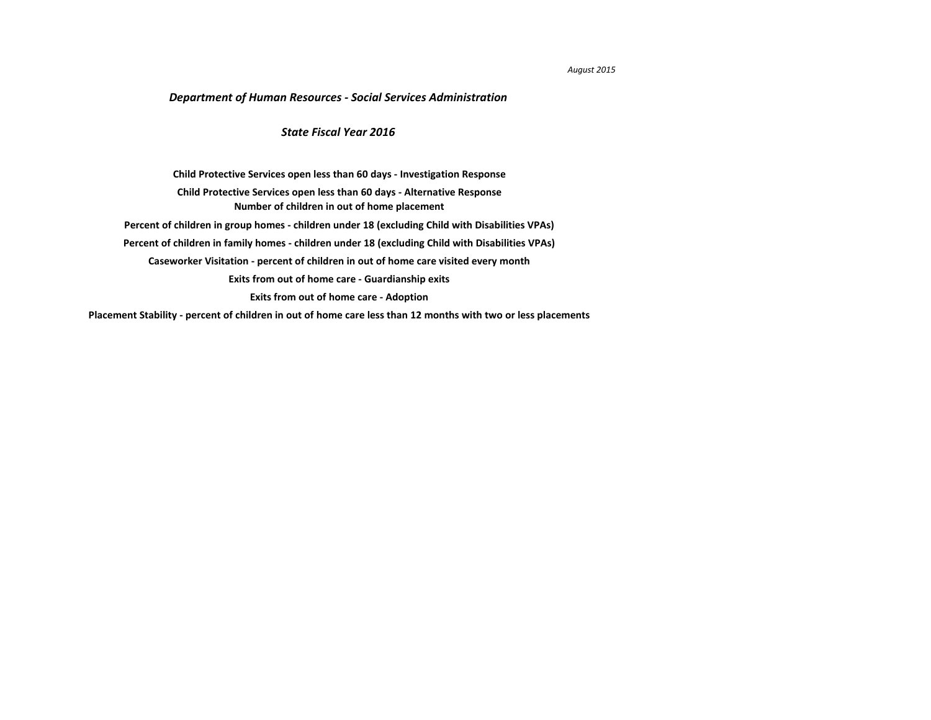## *August 2015*

**[Placement Stability - percent of children in out of home care less than 12 months with two or less placements](#page-10-0)**

## *Department of Human Resources - Social Services Administration*

**[Caseworker Visitation - percent of children in out of home care visited every month](#page-7-0) [Exits from out of home care - Guardianship exits](#page-8-0) [Exits from out of home care - Adoption](#page-9-0) [Child Protective Services open less than 60 days - Investigation Response](#page-2-0) [Number of children in out of home placement](#page-4-0) [Child Protective Services open less than 60 days - Alternative Response](#page-3-0) [Percent of children in group homes - children under 18 \(excluding Child with Disabilities VPAs\)](#page-5-0) [Percent of children in family homes - children under 18 \(excluding Child with Disabilities VPAs\)](#page-6-0)**

## *State Fiscal Year 2016*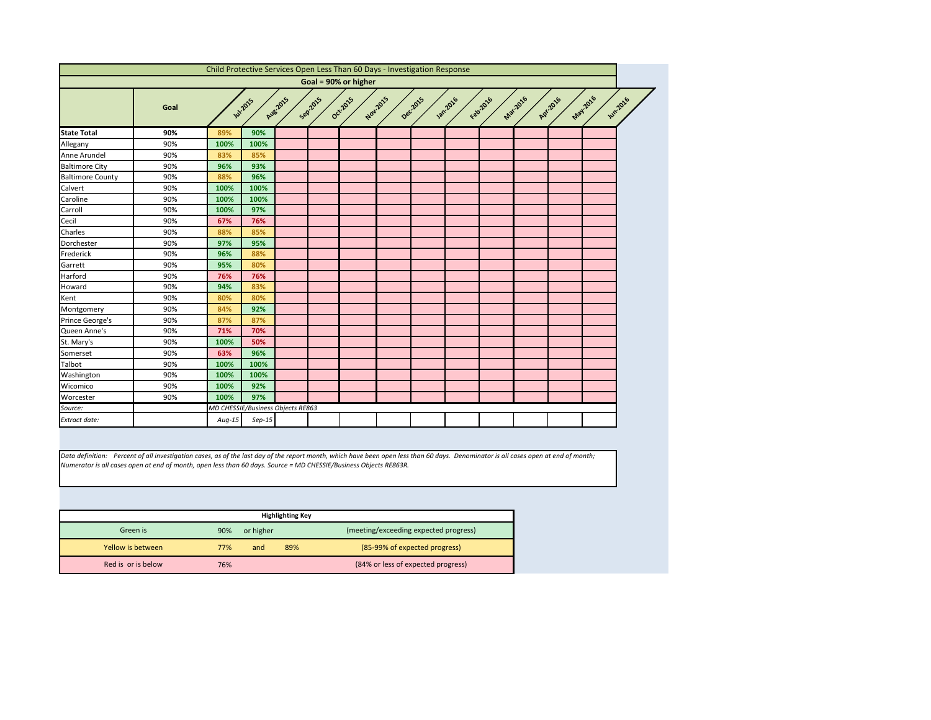<span id="page-2-0"></span>

|                         |      |          |                                   |          |                     | Child Protective Services Open Less Than 60 Days - Investigation Response |          |          |                |          |                 |          |         |                |
|-------------------------|------|----------|-----------------------------------|----------|---------------------|---------------------------------------------------------------------------|----------|----------|----------------|----------|-----------------|----------|---------|----------------|
|                         |      |          |                                   |          |                     | Goal = 90% or higher                                                      |          |          |                |          |                 |          |         |                |
|                         | Goal |          | <b>Jul-2015</b>                   | Aug-2015 | Sep <sub>2015</sub> | Oct-2015                                                                  | Nov.2015 | Dec.2015 | <b>1201016</b> | Febricio | <b>Mar.2016</b> | Apr.2016 | May2016 | <b>Jun2016</b> |
| <b>State Total</b>      | 90%  | 89%      | 90%                               |          |                     |                                                                           |          |          |                |          |                 |          |         |                |
| Allegany                | 90%  | 100%     | 100%                              |          |                     |                                                                           |          |          |                |          |                 |          |         |                |
| Anne Arundel            | 90%  | 83%      | 85%                               |          |                     |                                                                           |          |          |                |          |                 |          |         |                |
| <b>Baltimore City</b>   | 90%  | 96%      | 93%                               |          |                     |                                                                           |          |          |                |          |                 |          |         |                |
| <b>Baltimore County</b> | 90%  | 88%      | 96%                               |          |                     |                                                                           |          |          |                |          |                 |          |         |                |
| Calvert                 | 90%  | 100%     | 100%                              |          |                     |                                                                           |          |          |                |          |                 |          |         |                |
| Caroline                | 90%  | 100%     | 100%                              |          |                     |                                                                           |          |          |                |          |                 |          |         |                |
| Carroll                 | 90%  | 100%     | 97%                               |          |                     |                                                                           |          |          |                |          |                 |          |         |                |
| Cecil                   | 90%  | 67%      | 76%                               |          |                     |                                                                           |          |          |                |          |                 |          |         |                |
| Charles                 | 90%  | 88%      | 85%                               |          |                     |                                                                           |          |          |                |          |                 |          |         |                |
| Dorchester              | 90%  | 97%      | 95%                               |          |                     |                                                                           |          |          |                |          |                 |          |         |                |
| Frederick               | 90%  | 96%      | 88%                               |          |                     |                                                                           |          |          |                |          |                 |          |         |                |
| Garrett                 | 90%  | 95%      | 80%                               |          |                     |                                                                           |          |          |                |          |                 |          |         |                |
| Harford                 | 90%  | 76%      | 76%                               |          |                     |                                                                           |          |          |                |          |                 |          |         |                |
| Howard                  | 90%  | 94%      | 83%                               |          |                     |                                                                           |          |          |                |          |                 |          |         |                |
| Kent                    | 90%  | 80%      | 80%                               |          |                     |                                                                           |          |          |                |          |                 |          |         |                |
| Montgomery              | 90%  | 84%      | 92%                               |          |                     |                                                                           |          |          |                |          |                 |          |         |                |
| Prince George's         | 90%  | 87%      | 87%                               |          |                     |                                                                           |          |          |                |          |                 |          |         |                |
| Queen Anne's            | 90%  | 71%      | 70%                               |          |                     |                                                                           |          |          |                |          |                 |          |         |                |
| St. Mary's              | 90%  | 100%     | 50%                               |          |                     |                                                                           |          |          |                |          |                 |          |         |                |
| Somerset                | 90%  | 63%      | 96%                               |          |                     |                                                                           |          |          |                |          |                 |          |         |                |
| Talbot                  | 90%  | 100%     | 100%                              |          |                     |                                                                           |          |          |                |          |                 |          |         |                |
| Washington              | 90%  | 100%     | 100%                              |          |                     |                                                                           |          |          |                |          |                 |          |         |                |
| Wicomico                | 90%  | 100%     | 92%                               |          |                     |                                                                           |          |          |                |          |                 |          |         |                |
| Worcester               | 90%  | 100%     | 97%                               |          |                     |                                                                           |          |          |                |          |                 |          |         |                |
| Source:                 |      |          | MD CHESSIE/Business Objects RE863 |          |                     |                                                                           |          |          |                |          |                 |          |         |                |
| Extract date:           |      | $Aug-15$ | $Sep-15$                          |          |                     |                                                                           |          |          |                |          |                 |          |         |                |
|                         |      |          |                                   |          |                     |                                                                           |          |          |                |          |                 |          |         |                |

|                    |     |           | <b>Highlighting Key</b> |                                       |
|--------------------|-----|-----------|-------------------------|---------------------------------------|
| Green is           | 90% | or higher |                         | (meeting/exceeding expected progress) |
| Yellow is between  | 77% | and       | 89%                     | (85-99% of expected progress)         |
| Red is or is below | 76% |           |                         | (84% or less of expected progress)    |



*Data definition: Percent of all investigation cases, as of the last day of the report month, which have been open less than 60 days. Denominator is all cases open at end of month; Numerator is all cases open at end of month, open less than 60 days. Source = MD CHESSIE/Business Objects RE863R.*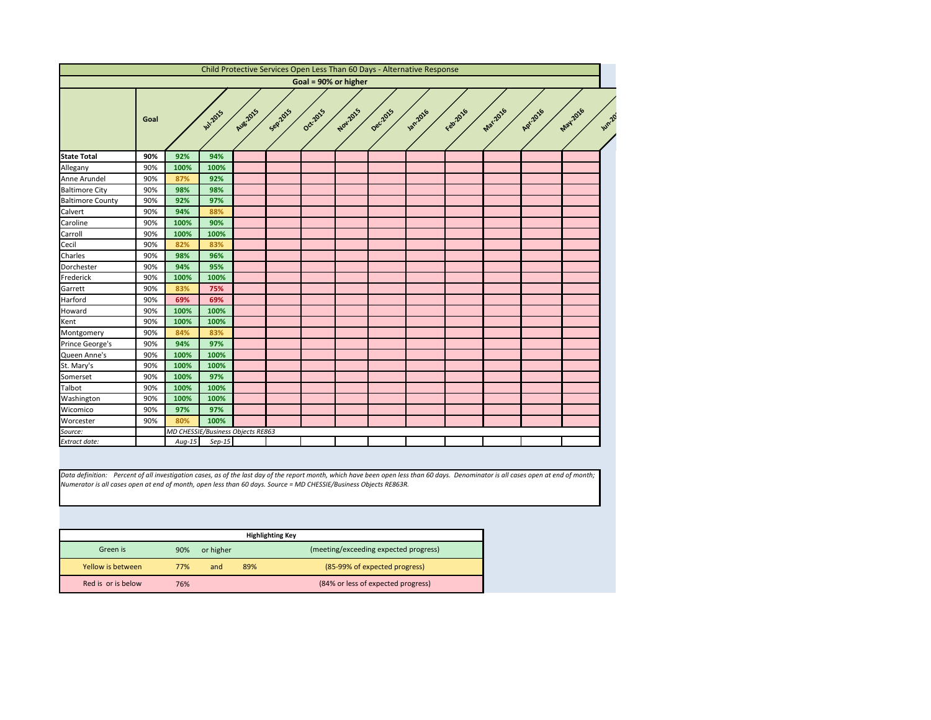<span id="page-3-0"></span>

|                         |      |                                   |               |                 |         |                      |          |          | Child Protective Services Open Less Than 60 Days - Alternative Response |          |                 |          |                   |
|-------------------------|------|-----------------------------------|---------------|-----------------|---------|----------------------|----------|----------|-------------------------------------------------------------------------|----------|-----------------|----------|-------------------|
|                         |      |                                   |               |                 |         | Goal = 90% or higher |          |          |                                                                         |          |                 |          |                   |
|                         | Goal |                                   | <b>W.2015</b> | <b>Aug.2015</b> | Sep2015 | Oct-2015             | Nov.2015 | Dec.2015 | <b>1201016</b>                                                          | Febricio | <b>Mar.2016</b> | Apr.2016 | May2016<br>Jun.20 |
| <b>State Total</b>      | 90%  | 92%                               | 94%           |                 |         |                      |          |          |                                                                         |          |                 |          |                   |
| Allegany                | 90%  | 100%                              | 100%          |                 |         |                      |          |          |                                                                         |          |                 |          |                   |
| Anne Arundel            | 90%  | 87%                               | 92%           |                 |         |                      |          |          |                                                                         |          |                 |          |                   |
| <b>Baltimore City</b>   | 90%  | 98%                               | 98%           |                 |         |                      |          |          |                                                                         |          |                 |          |                   |
| <b>Baltimore County</b> | 90%  | 92%                               | 97%           |                 |         |                      |          |          |                                                                         |          |                 |          |                   |
| Calvert                 | 90%  | 94%                               | 88%           |                 |         |                      |          |          |                                                                         |          |                 |          |                   |
| Caroline                | 90%  | 100%                              | 90%           |                 |         |                      |          |          |                                                                         |          |                 |          |                   |
| Carroll                 | 90%  | 100%                              | 100%          |                 |         |                      |          |          |                                                                         |          |                 |          |                   |
| Cecil                   | 90%  | 82%                               | 83%           |                 |         |                      |          |          |                                                                         |          |                 |          |                   |
| Charles                 | 90%  | 98%                               | 96%           |                 |         |                      |          |          |                                                                         |          |                 |          |                   |
| Dorchester              | 90%  | 94%                               | 95%           |                 |         |                      |          |          |                                                                         |          |                 |          |                   |
| Frederick               | 90%  | 100%                              | 100%          |                 |         |                      |          |          |                                                                         |          |                 |          |                   |
| Garrett                 | 90%  | 83%                               | 75%           |                 |         |                      |          |          |                                                                         |          |                 |          |                   |
| Harford                 | 90%  | 69%                               | 69%           |                 |         |                      |          |          |                                                                         |          |                 |          |                   |
| Howard                  | 90%  | 100%                              | 100%          |                 |         |                      |          |          |                                                                         |          |                 |          |                   |
| Kent                    | 90%  | 100%                              | 100%          |                 |         |                      |          |          |                                                                         |          |                 |          |                   |
| Montgomery              | 90%  | 84%                               | 83%           |                 |         |                      |          |          |                                                                         |          |                 |          |                   |
| Prince George's         | 90%  | 94%                               | 97%           |                 |         |                      |          |          |                                                                         |          |                 |          |                   |
| Queen Anne's            | 90%  | 100%                              | 100%          |                 |         |                      |          |          |                                                                         |          |                 |          |                   |
| St. Mary's              | 90%  | 100%                              | 100%          |                 |         |                      |          |          |                                                                         |          |                 |          |                   |
| Somerset                | 90%  | 100%                              | 97%           |                 |         |                      |          |          |                                                                         |          |                 |          |                   |
| Talbot                  | 90%  | 100%                              | 100%          |                 |         |                      |          |          |                                                                         |          |                 |          |                   |
| Washington              | 90%  | 100%                              | 100%          |                 |         |                      |          |          |                                                                         |          |                 |          |                   |
| Wicomico                | 90%  | 97%                               | 97%           |                 |         |                      |          |          |                                                                         |          |                 |          |                   |
| Worcester               | 90%  | 80%                               | 100%          |                 |         |                      |          |          |                                                                         |          |                 |          |                   |
| Source:                 |      | MD CHESSIE/Business Objects RE863 |               |                 |         |                      |          |          |                                                                         |          |                 |          |                   |
|                         |      | $Aug-15$                          | $Sep-15$      |                 |         |                      |          |          |                                                                         |          |                 |          |                   |

|                    |     |           | <b>Highlighting Key</b> |                                       |
|--------------------|-----|-----------|-------------------------|---------------------------------------|
| Green is           | 90% | or higher |                         | (meeting/exceeding expected progress) |
| Yellow is between  | 77% | and       | 89%                     | (85-99% of expected progress)         |
| Red is or is below | 76% |           |                         | (84% or less of expected progress)    |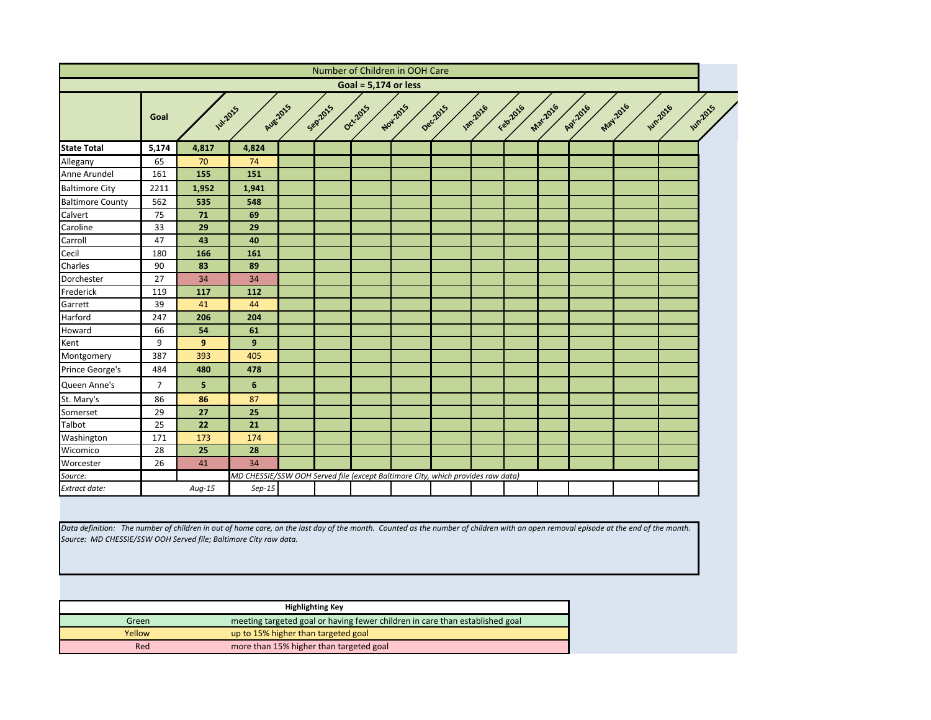<span id="page-4-0"></span>

|                                                                                                                                                                                                                                                        |                |        |                                                                                 |                         |                        | Number of Children in OOH Care |          |                  |           |          |          |         |                |                |
|--------------------------------------------------------------------------------------------------------------------------------------------------------------------------------------------------------------------------------------------------------|----------------|--------|---------------------------------------------------------------------------------|-------------------------|------------------------|--------------------------------|----------|------------------|-----------|----------|----------|---------|----------------|----------------|
|                                                                                                                                                                                                                                                        |                |        |                                                                                 |                         | Goal = $5,174$ or less |                                |          |                  |           |          |          |         |                |                |
|                                                                                                                                                                                                                                                        | Goal           |        | <b>Aug2015</b><br><b>Jul-2015</b>                                               | Seprans                 | Oct-2015               | Nov.2015                       | Dec.2015 | <b>1201-2016</b> | Februarie | Mar.2016 | APY-2016 | May2016 | <b>Jun2016</b> | <b>Jun2015</b> |
| <b>State Total</b>                                                                                                                                                                                                                                     | 5,174          | 4,817  | 4,824                                                                           |                         |                        |                                |          |                  |           |          |          |         |                |                |
| Allegany                                                                                                                                                                                                                                               | 65             | 70     | 74                                                                              |                         |                        |                                |          |                  |           |          |          |         |                |                |
| Anne Arundel                                                                                                                                                                                                                                           | 161            | 155    | 151                                                                             |                         |                        |                                |          |                  |           |          |          |         |                |                |
| <b>Baltimore City</b>                                                                                                                                                                                                                                  | 2211           | 1,952  | 1,941                                                                           |                         |                        |                                |          |                  |           |          |          |         |                |                |
| <b>Baltimore County</b>                                                                                                                                                                                                                                | 562            | 535    | 548                                                                             |                         |                        |                                |          |                  |           |          |          |         |                |                |
| Calvert                                                                                                                                                                                                                                                | 75             | 71     | 69                                                                              |                         |                        |                                |          |                  |           |          |          |         |                |                |
| Caroline                                                                                                                                                                                                                                               | 33             | 29     | 29                                                                              |                         |                        |                                |          |                  |           |          |          |         |                |                |
| Carroll                                                                                                                                                                                                                                                | 47             | 43     | 40                                                                              |                         |                        |                                |          |                  |           |          |          |         |                |                |
| Cecil                                                                                                                                                                                                                                                  | 180            | 166    | 161                                                                             |                         |                        |                                |          |                  |           |          |          |         |                |                |
| Charles                                                                                                                                                                                                                                                | 90             | 83     | 89                                                                              |                         |                        |                                |          |                  |           |          |          |         |                |                |
| Dorchester                                                                                                                                                                                                                                             | 27             | 34     | 34                                                                              |                         |                        |                                |          |                  |           |          |          |         |                |                |
| Frederick                                                                                                                                                                                                                                              | 119            | 117    | 112                                                                             |                         |                        |                                |          |                  |           |          |          |         |                |                |
| Garrett                                                                                                                                                                                                                                                | 39             | 41     | 44                                                                              |                         |                        |                                |          |                  |           |          |          |         |                |                |
| Harford                                                                                                                                                                                                                                                | 247            | 206    | 204                                                                             |                         |                        |                                |          |                  |           |          |          |         |                |                |
| Howard                                                                                                                                                                                                                                                 | 66             | 54     | 61                                                                              |                         |                        |                                |          |                  |           |          |          |         |                |                |
| Kent                                                                                                                                                                                                                                                   | 9              | 9      | 9                                                                               |                         |                        |                                |          |                  |           |          |          |         |                |                |
| Montgomery                                                                                                                                                                                                                                             | 387            | 393    | 405                                                                             |                         |                        |                                |          |                  |           |          |          |         |                |                |
| Prince George's                                                                                                                                                                                                                                        | 484            | 480    | 478                                                                             |                         |                        |                                |          |                  |           |          |          |         |                |                |
| Queen Anne's                                                                                                                                                                                                                                           | $\overline{7}$ | 5      | 6                                                                               |                         |                        |                                |          |                  |           |          |          |         |                |                |
| St. Mary's                                                                                                                                                                                                                                             | 86             | 86     | 87                                                                              |                         |                        |                                |          |                  |           |          |          |         |                |                |
| Somerset                                                                                                                                                                                                                                               | 29             | 27     | 25                                                                              |                         |                        |                                |          |                  |           |          |          |         |                |                |
| Talbot                                                                                                                                                                                                                                                 | 25             | 22     | 21                                                                              |                         |                        |                                |          |                  |           |          |          |         |                |                |
| Washington                                                                                                                                                                                                                                             | 171            | 173    | 174                                                                             |                         |                        |                                |          |                  |           |          |          |         |                |                |
| Wicomico                                                                                                                                                                                                                                               | 28             | 25     | 28                                                                              |                         |                        |                                |          |                  |           |          |          |         |                |                |
| Worcester                                                                                                                                                                                                                                              | 26             | 41     | 34                                                                              |                         |                        |                                |          |                  |           |          |          |         |                |                |
| Source:                                                                                                                                                                                                                                                |                |        | MD CHESSIE/SSW OOH Served file (except Baltimore City, which provides raw data) |                         |                        |                                |          |                  |           |          |          |         |                |                |
| <b>Extract date:</b>                                                                                                                                                                                                                                   |                | Aug-15 | $Sep-15$                                                                        |                         |                        |                                |          |                  |           |          |          |         |                |                |
|                                                                                                                                                                                                                                                        |                |        |                                                                                 |                         |                        |                                |          |                  |           |          |          |         |                |                |
| Data definition: The number of children in out of home care, on the last day of the month. Counted as the number of children with an open removal episode at the end of the month.<br>Source: MD CHESSIE/SSW OOH Served file; Baltimore City raw data. |                |        |                                                                                 |                         |                        |                                |          |                  |           |          |          |         |                |                |
|                                                                                                                                                                                                                                                        |                |        |                                                                                 |                         |                        |                                |          |                  |           |          |          |         |                |                |
|                                                                                                                                                                                                                                                        |                |        |                                                                                 | <b>Highlighting Key</b> |                        |                                |          |                  |           |          |          |         |                |                |
|                                                                                                                                                                                                                                                        | Green          |        | meeting targeted goal or having fewer children in care than established goal    |                         |                        |                                |          |                  |           |          |          |         |                |                |
|                                                                                                                                                                                                                                                        | Yellow         |        | up to 15% higher than targeted goal                                             |                         |                        |                                |          |                  |           |          |          |         |                |                |
|                                                                                                                                                                                                                                                        | Red            |        | more than 15% higher than targeted goal                                         |                         |                        |                                |          |                  |           |          |          |         |                |                |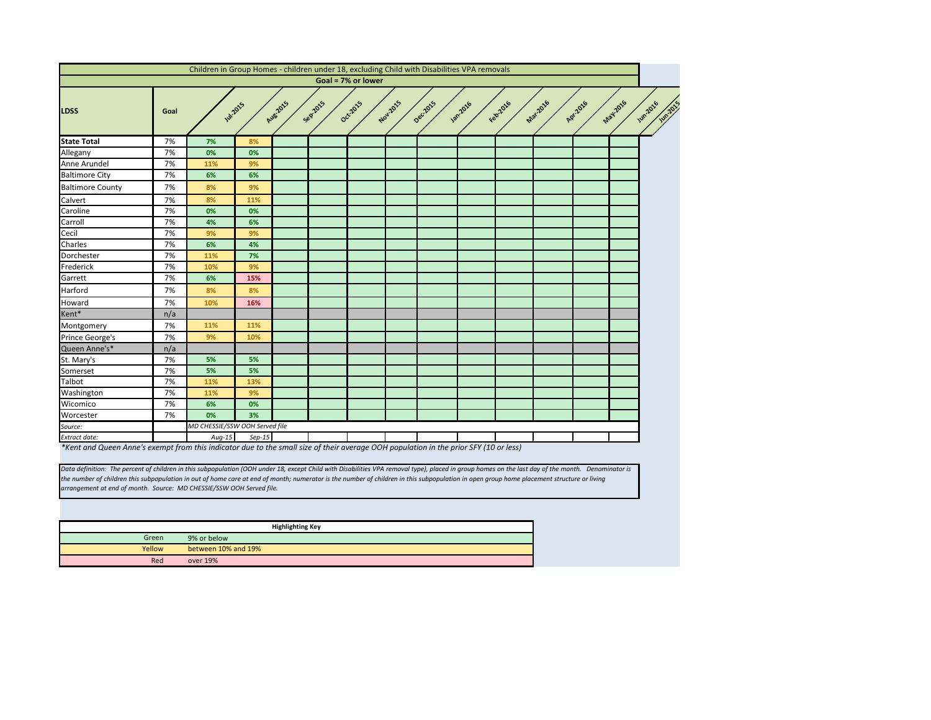

<span id="page-5-0"></span>

|                           |      | Children in Group Homes - children under 18, excluding Child with Disabilities VPA removals                                      |          |                 |         |                    |          |          |                |          |          |          |                                    |
|---------------------------|------|----------------------------------------------------------------------------------------------------------------------------------|----------|-----------------|---------|--------------------|----------|----------|----------------|----------|----------|----------|------------------------------------|
|                           |      |                                                                                                                                  |          |                 |         | Goal = 7% or lower |          |          |                |          |          |          |                                    |
| <b>LDSS</b>               | Goal | <b>Jul-2015</b>                                                                                                                  |          | <b>Aug-2015</b> | Sep2015 | Oct-2015           | Nov.2015 | Dec.2015 | <b>1872016</b> | Febr2016 | Mar-2016 | Apr.2016 | May-2016<br>$\boldsymbol{\dot{s}}$ |
| <b>State Total</b>        | 7%   | 7%                                                                                                                               | 8%       |                 |         |                    |          |          |                |          |          |          |                                    |
| Allegany                  | 7%   | 0%                                                                                                                               | 0%       |                 |         |                    |          |          |                |          |          |          |                                    |
| Anne Arundel              | 7%   | 11%                                                                                                                              | 9%       |                 |         |                    |          |          |                |          |          |          |                                    |
| <b>Baltimore City</b>     | 7%   | 6%                                                                                                                               | 6%       |                 |         |                    |          |          |                |          |          |          |                                    |
| <b>Baltimore County</b>   | 7%   | 8%                                                                                                                               | 9%       |                 |         |                    |          |          |                |          |          |          |                                    |
| Calvert                   | 7%   | 8%                                                                                                                               | 11%      |                 |         |                    |          |          |                |          |          |          |                                    |
| Caroline                  | 7%   | 0%                                                                                                                               | 0%       |                 |         |                    |          |          |                |          |          |          |                                    |
| Carroll                   | 7%   | 4%                                                                                                                               | 6%       |                 |         |                    |          |          |                |          |          |          |                                    |
| Cecil                     | 7%   | 9%                                                                                                                               | 9%       |                 |         |                    |          |          |                |          |          |          |                                    |
| Charles                   | 7%   | 6%                                                                                                                               | 4%       |                 |         |                    |          |          |                |          |          |          |                                    |
| Dorchester                | 7%   | 11%                                                                                                                              | 7%       |                 |         |                    |          |          |                |          |          |          |                                    |
| Frederick                 | 7%   | 10%                                                                                                                              | 9%       |                 |         |                    |          |          |                |          |          |          |                                    |
| Garrett                   | 7%   | 6%                                                                                                                               | 15%      |                 |         |                    |          |          |                |          |          |          |                                    |
| Harford                   | 7%   | 8%                                                                                                                               | 8%       |                 |         |                    |          |          |                |          |          |          |                                    |
| Howard                    | 7%   | 10%                                                                                                                              | 16%      |                 |         |                    |          |          |                |          |          |          |                                    |
| Kent*                     | n/a  |                                                                                                                                  |          |                 |         |                    |          |          |                |          |          |          |                                    |
| Montgomery                | 7%   | 11%                                                                                                                              | 11%      |                 |         |                    |          |          |                |          |          |          |                                    |
| Prince George's           | 7%   | 9%                                                                                                                               | 10%      |                 |         |                    |          |          |                |          |          |          |                                    |
| Queen Anne's*             | n/a  |                                                                                                                                  |          |                 |         |                    |          |          |                |          |          |          |                                    |
| St. Mary's                | 7%   | 5%                                                                                                                               | 5%       |                 |         |                    |          |          |                |          |          |          |                                    |
| Somerset                  | 7%   | 5%                                                                                                                               | 5%       |                 |         |                    |          |          |                |          |          |          |                                    |
| Talbot                    | 7%   | 11%                                                                                                                              | 13%      |                 |         |                    |          |          |                |          |          |          |                                    |
| Washington                | 7%   | 11%                                                                                                                              | 9%       |                 |         |                    |          |          |                |          |          |          |                                    |
| Wicomico                  | 7%   | 6%                                                                                                                               | 0%       |                 |         |                    |          |          |                |          |          |          |                                    |
| Worcester                 | 7%   | 0%                                                                                                                               | 3%       |                 |         |                    |          |          |                |          |          |          |                                    |
| Source:                   |      | MD CHESSIE/SSW OOH Served file                                                                                                   |          |                 |         |                    |          |          |                |          |          |          |                                    |
| Extract date:<br>$*1/2+1$ |      | $Aug-15$<br>ele avevent from this indicator due to the empli size of their suspense OOU nonvlation in the nuior CEV (10 or local | $Sep-15$ |                 |         |                    |          |          |                |          |          |          |                                    |

*\*Kent and Queen Anne's exempt from this indicator due to the small size of their average OOH population in the prior SFY (10 or less)*

|        | <b>Highlighting Key</b> |
|--------|-------------------------|
| Green  | 9% or below             |
| Yellow | between 10% and 19%     |
| Red    | over 19%                |

*Data definition: The percent of children in this subpopulation (OOH under 18, except Child with Disabilities VPA removal type), placed in group homes on the last day of the month. Denominator is the number of children this subpopulation in out of home care at end of month; numerator is the number of children in this subpopulation in open group home placement structure or living arrangement at end of month. Source: MD CHESSIE/SSW OOH Served file.*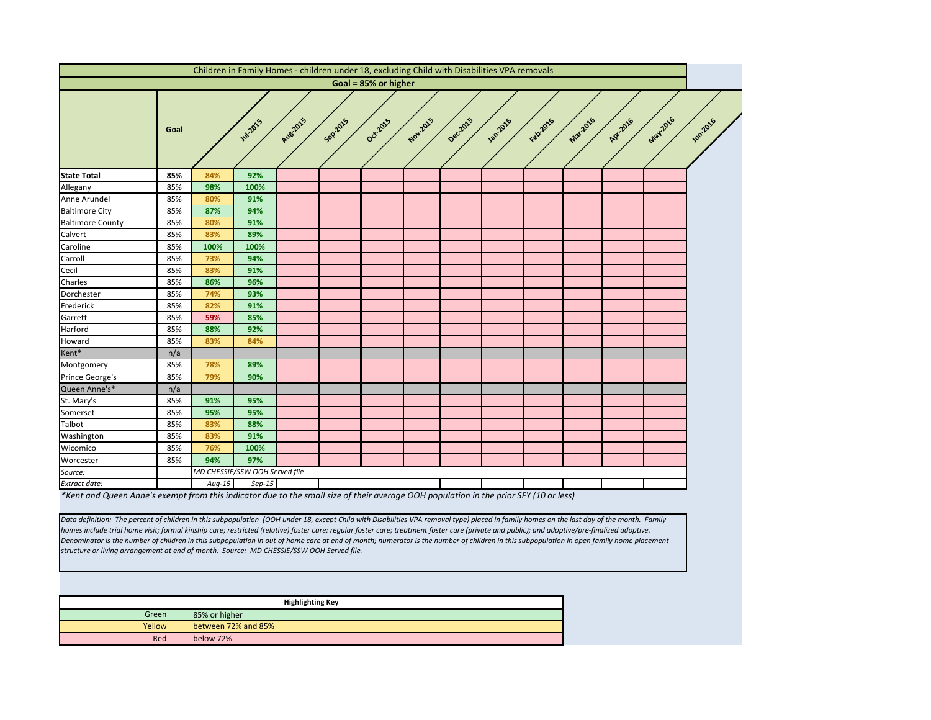Data definition: The percent of children in this subpopulation (OOH under 18, except Child with Disabilities VPA removal type) placed in family homes on the last day of the month. Family *homes include trial home visit; formal kinship care; restricted (relative) foster care; regular foster care; treatment foster care (private and public); and adoptive/pre-finalized adoptive. Denominator is the number of children in this subpopulation in out of home care at end of month; numerator is the number of children in this subpopulation in open family home placement structure or living arrangement at end of month. Source: MD CHESSIE/SSW OOH Served file.*

<span id="page-6-0"></span>

|                                                                                                                                       |      |          | Children in Family Homes - children under 18, excluding Child with Disabilities VPA removals |          |         |                      |          |          |               |          |          |          |          |                 |
|---------------------------------------------------------------------------------------------------------------------------------------|------|----------|----------------------------------------------------------------------------------------------|----------|---------|----------------------|----------|----------|---------------|----------|----------|----------|----------|-----------------|
|                                                                                                                                       |      |          |                                                                                              |          |         | Goal = 85% or higher |          |          |               |          |          |          |          |                 |
|                                                                                                                                       | Goal |          | <b>W.2015</b>                                                                                | Aug-2015 | Sep2015 | Oct2015              | Nov.2015 | Decilors | <b>1</b> 2016 | Feb 2016 | Mar-2016 | Apr.2016 | May 2016 | <b>Jun 2016</b> |
| <b>State Total</b>                                                                                                                    | 85%  | 84%      | 92%                                                                                          |          |         |                      |          |          |               |          |          |          |          |                 |
| Allegany                                                                                                                              | 85%  | 98%      | 100%                                                                                         |          |         |                      |          |          |               |          |          |          |          |                 |
| Anne Arundel                                                                                                                          | 85%  | 80%      | 91%                                                                                          |          |         |                      |          |          |               |          |          |          |          |                 |
| <b>Baltimore City</b>                                                                                                                 | 85%  | 87%      | 94%                                                                                          |          |         |                      |          |          |               |          |          |          |          |                 |
| <b>Baltimore County</b>                                                                                                               | 85%  | 80%      | 91%                                                                                          |          |         |                      |          |          |               |          |          |          |          |                 |
| Calvert                                                                                                                               | 85%  | 83%      | 89%                                                                                          |          |         |                      |          |          |               |          |          |          |          |                 |
| Caroline                                                                                                                              | 85%  | 100%     | 100%                                                                                         |          |         |                      |          |          |               |          |          |          |          |                 |
| Carroll                                                                                                                               | 85%  | 73%      | 94%                                                                                          |          |         |                      |          |          |               |          |          |          |          |                 |
| Cecil                                                                                                                                 | 85%  | 83%      | 91%                                                                                          |          |         |                      |          |          |               |          |          |          |          |                 |
| Charles                                                                                                                               | 85%  | 86%      | 96%                                                                                          |          |         |                      |          |          |               |          |          |          |          |                 |
| Dorchester                                                                                                                            | 85%  | 74%      | 93%                                                                                          |          |         |                      |          |          |               |          |          |          |          |                 |
| Frederick                                                                                                                             | 85%  | 82%      | 91%                                                                                          |          |         |                      |          |          |               |          |          |          |          |                 |
| Garrett                                                                                                                               | 85%  | 59%      | 85%                                                                                          |          |         |                      |          |          |               |          |          |          |          |                 |
| Harford                                                                                                                               | 85%  | 88%      | 92%                                                                                          |          |         |                      |          |          |               |          |          |          |          |                 |
| Howard                                                                                                                                | 85%  | 83%      | 84%                                                                                          |          |         |                      |          |          |               |          |          |          |          |                 |
| Kent*                                                                                                                                 | n/a  |          |                                                                                              |          |         |                      |          |          |               |          |          |          |          |                 |
| Montgomery                                                                                                                            | 85%  | 78%      | 89%                                                                                          |          |         |                      |          |          |               |          |          |          |          |                 |
| Prince George's                                                                                                                       | 85%  | 79%      | 90%                                                                                          |          |         |                      |          |          |               |          |          |          |          |                 |
| Queen Anne's*                                                                                                                         | n/a  |          |                                                                                              |          |         |                      |          |          |               |          |          |          |          |                 |
| St. Mary's                                                                                                                            | 85%  | 91%      | 95%                                                                                          |          |         |                      |          |          |               |          |          |          |          |                 |
| Somerset                                                                                                                              | 85%  | 95%      | 95%                                                                                          |          |         |                      |          |          |               |          |          |          |          |                 |
| Talbot                                                                                                                                | 85%  | 83%      | 88%                                                                                          |          |         |                      |          |          |               |          |          |          |          |                 |
| Washington                                                                                                                            | 85%  | 83%      | 91%                                                                                          |          |         |                      |          |          |               |          |          |          |          |                 |
| Wicomico                                                                                                                              | 85%  | 76%      | 100%                                                                                         |          |         |                      |          |          |               |          |          |          |          |                 |
| Worcester                                                                                                                             | 85%  | 94%      | 97%                                                                                          |          |         |                      |          |          |               |          |          |          |          |                 |
| Source:                                                                                                                               |      |          | MD CHESSIE/SSW OOH Served file                                                               |          |         |                      |          |          |               |          |          |          |          |                 |
| Extract date:                                                                                                                         |      | $Aug-15$ | $Sep-15$                                                                                     |          |         |                      |          |          |               |          |          |          |          |                 |
| *Kent and Queen Anne's exempt from this indicator due to the small size of their average OOH population in the prior SFY (10 or less) |      |          |                                                                                              |          |         |                      |          |          |               |          |          |          |          |                 |

|        | <b>Highlighting Key</b> |
|--------|-------------------------|
| Green  | 85% or higher           |
| Yellow | between 72% and 85%     |
| Red    | below 72%               |

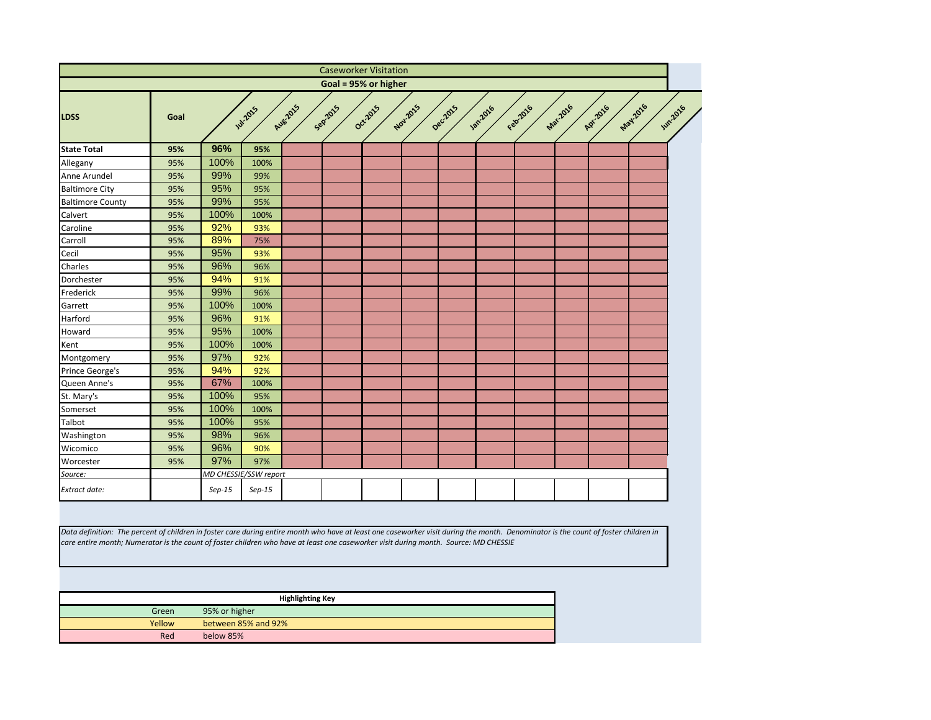<span id="page-7-0"></span>

|                                                                                                                                                                                                                                                                                                                             |        |               |                       |                         |         | <b>Caseworker Visitation</b> |          |          |               |          |          |          |                                   |
|-----------------------------------------------------------------------------------------------------------------------------------------------------------------------------------------------------------------------------------------------------------------------------------------------------------------------------|--------|---------------|-----------------------|-------------------------|---------|------------------------------|----------|----------|---------------|----------|----------|----------|-----------------------------------|
|                                                                                                                                                                                                                                                                                                                             |        |               |                       |                         |         | Goal = 95% or higher         |          |          |               |          |          |          |                                   |
| <b>LDSS</b>                                                                                                                                                                                                                                                                                                                 | Goal   |               | <b>Jul-2015</b>       | Aug-2015                | Sep2015 | Oct2015                      | Nov.2015 | Decilors | <b>1</b> 2016 | Febricio | Mar.2016 | Apr.2016 | <b>May.2016</b><br><b>Jun2016</b> |
| <b>State Total</b>                                                                                                                                                                                                                                                                                                          | 95%    | 96%           | 95%                   |                         |         |                              |          |          |               |          |          |          |                                   |
| Allegany                                                                                                                                                                                                                                                                                                                    | 95%    | 100%          | 100%                  |                         |         |                              |          |          |               |          |          |          |                                   |
| Anne Arundel                                                                                                                                                                                                                                                                                                                | 95%    | 99%           | 99%                   |                         |         |                              |          |          |               |          |          |          |                                   |
| <b>Baltimore City</b>                                                                                                                                                                                                                                                                                                       | 95%    | 95%           | 95%                   |                         |         |                              |          |          |               |          |          |          |                                   |
| <b>Baltimore County</b>                                                                                                                                                                                                                                                                                                     | 95%    | 99%           | 95%                   |                         |         |                              |          |          |               |          |          |          |                                   |
| Calvert                                                                                                                                                                                                                                                                                                                     | 95%    | 100%          | 100%                  |                         |         |                              |          |          |               |          |          |          |                                   |
| Caroline                                                                                                                                                                                                                                                                                                                    | 95%    | 92%           | 93%                   |                         |         |                              |          |          |               |          |          |          |                                   |
| Carroll                                                                                                                                                                                                                                                                                                                     | 95%    | 89%           | 75%                   |                         |         |                              |          |          |               |          |          |          |                                   |
| Cecil                                                                                                                                                                                                                                                                                                                       | 95%    | 95%           | 93%                   |                         |         |                              |          |          |               |          |          |          |                                   |
| Charles                                                                                                                                                                                                                                                                                                                     | 95%    | 96%           | 96%                   |                         |         |                              |          |          |               |          |          |          |                                   |
| Dorchester                                                                                                                                                                                                                                                                                                                  | 95%    | 94%           | 91%                   |                         |         |                              |          |          |               |          |          |          |                                   |
| Frederick                                                                                                                                                                                                                                                                                                                   | 95%    | 99%           | 96%                   |                         |         |                              |          |          |               |          |          |          |                                   |
| Garrett                                                                                                                                                                                                                                                                                                                     | 95%    | 100%          | 100%                  |                         |         |                              |          |          |               |          |          |          |                                   |
| Harford                                                                                                                                                                                                                                                                                                                     | 95%    | 96%           | 91%                   |                         |         |                              |          |          |               |          |          |          |                                   |
| Howard                                                                                                                                                                                                                                                                                                                      | 95%    | 95%           | 100%                  |                         |         |                              |          |          |               |          |          |          |                                   |
| Kent                                                                                                                                                                                                                                                                                                                        | 95%    | 100%          | 100%                  |                         |         |                              |          |          |               |          |          |          |                                   |
| Montgomery                                                                                                                                                                                                                                                                                                                  | 95%    | 97%           | 92%                   |                         |         |                              |          |          |               |          |          |          |                                   |
| Prince George's                                                                                                                                                                                                                                                                                                             | 95%    | 94%           | 92%                   |                         |         |                              |          |          |               |          |          |          |                                   |
| Queen Anne's                                                                                                                                                                                                                                                                                                                | 95%    | 67%           | 100%                  |                         |         |                              |          |          |               |          |          |          |                                   |
| St. Mary's                                                                                                                                                                                                                                                                                                                  | 95%    | 100%          | 95%                   |                         |         |                              |          |          |               |          |          |          |                                   |
| Somerset                                                                                                                                                                                                                                                                                                                    | 95%    | 100%          | 100%                  |                         |         |                              |          |          |               |          |          |          |                                   |
| Talbot                                                                                                                                                                                                                                                                                                                      | 95%    | 100%          | 95%                   |                         |         |                              |          |          |               |          |          |          |                                   |
| Washington                                                                                                                                                                                                                                                                                                                  | 95%    | 98%           | 96%                   |                         |         |                              |          |          |               |          |          |          |                                   |
| Wicomico                                                                                                                                                                                                                                                                                                                    | 95%    | 96%           | 90%                   |                         |         |                              |          |          |               |          |          |          |                                   |
| Worcester                                                                                                                                                                                                                                                                                                                   | 95%    | 97%           | 97%                   |                         |         |                              |          |          |               |          |          |          |                                   |
| Source:                                                                                                                                                                                                                                                                                                                     |        |               | MD CHESSIE/SSW report |                         |         |                              |          |          |               |          |          |          |                                   |
| Extract date:                                                                                                                                                                                                                                                                                                               |        | $Sep-15$      | $Sep-15$              |                         |         |                              |          |          |               |          |          |          |                                   |
| Data definition: The percent of children in foster care during entire month who have at least one caseworker visit during the month. Denominator is the count of foster children in<br>care entire month; Numerator is the count of foster children who have at least one caseworker visit during month. Source: MD CHESSIE |        |               |                       |                         |         |                              |          |          |               |          |          |          |                                   |
|                                                                                                                                                                                                                                                                                                                             |        |               |                       | <b>Highlighting Key</b> |         |                              |          |          |               |          |          |          |                                   |
|                                                                                                                                                                                                                                                                                                                             | Green  | 95% or higher |                       |                         |         |                              |          |          |               |          |          |          |                                   |
|                                                                                                                                                                                                                                                                                                                             | Yellow |               | between 85% and 92%   |                         |         |                              |          |          |               |          |          |          |                                   |
|                                                                                                                                                                                                                                                                                                                             | Red    | below 85%     |                       |                         |         |                              |          |          |               |          |          |          |                                   |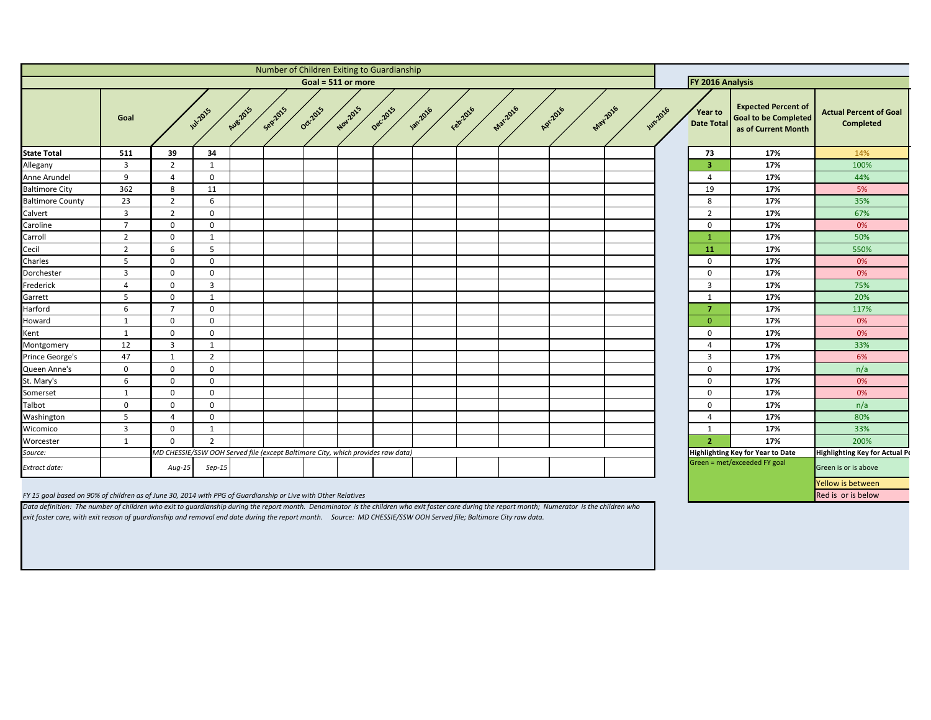<span id="page-8-0"></span>

|                                                                                                               |                |                                                                                 |                 |           | Number of Children Exiting to Guardianship |          |                    |         |               |           |                 |          |                 |                |                                     |                                                                                  |                                                   |
|---------------------------------------------------------------------------------------------------------------|----------------|---------------------------------------------------------------------------------|-----------------|-----------|--------------------------------------------|----------|--------------------|---------|---------------|-----------|-----------------|----------|-----------------|----------------|-------------------------------------|----------------------------------------------------------------------------------|---------------------------------------------------|
|                                                                                                               |                |                                                                                 |                 |           |                                            |          | Goal = 511 or more |         |               |           |                 |          |                 |                | FY 2016 Analysis                    |                                                                                  |                                                   |
|                                                                                                               | Goal           |                                                                                 | <b>141-2015</b> | Aug. 2015 | Sepzons                                    | Oct-2015 | Nov.2015           | Decidas | <b>1</b> 2016 | Februarie | <b>Mar-2016</b> | Apr.2016 | <b>May-2016</b> | <b>Wh.2016</b> | <b>Year to</b><br><b>Date Total</b> | <b>Expected Percent of</b><br><b>Goal to be Completed</b><br>as of Current Month | <b>Actual Percent of Goal</b><br><b>Completed</b> |
| <b>State Total</b>                                                                                            | 511            | 39                                                                              | 34              |           |                                            |          |                    |         |               |           |                 |          |                 |                | 73                                  | 17%                                                                              | 14%                                               |
| Allegany                                                                                                      | 3              | $\overline{2}$                                                                  |                 |           |                                            |          |                    |         |               |           |                 |          |                 |                | 3                                   | 17%                                                                              | 100%                                              |
| Anne Arundel                                                                                                  | 9              | $\overline{4}$                                                                  | $\overline{0}$  |           |                                            |          |                    |         |               |           |                 |          |                 |                | 4                                   | 17%                                                                              | 44%                                               |
| <b>Baltimore City</b>                                                                                         | 362            | 8                                                                               | 11              |           |                                            |          |                    |         |               |           |                 |          |                 |                | 19                                  | 17%                                                                              | 5%                                                |
| <b>Baltimore County</b>                                                                                       | 23             | $\overline{2}$                                                                  | 6               |           |                                            |          |                    |         |               |           |                 |          |                 |                | 8                                   | 17%                                                                              | 35%                                               |
| Calvert                                                                                                       | $\overline{3}$ | $\overline{2}$                                                                  | $\overline{0}$  |           |                                            |          |                    |         |               |           |                 |          |                 |                | $\overline{2}$                      | 17%                                                                              | 67%                                               |
| Caroline                                                                                                      | $\overline{7}$ | $\mathbf 0$                                                                     | $\mathbf 0$     |           |                                            |          |                    |         |               |           |                 |          |                 |                | $\Omega$                            | 17%                                                                              | 0%                                                |
| Carroll                                                                                                       | $\overline{2}$ | $\mathbf 0$                                                                     | -1              |           |                                            |          |                    |         |               |           |                 |          |                 |                |                                     | 17%                                                                              | 50%                                               |
| Cecil                                                                                                         | $\overline{2}$ | 6                                                                               | -5              |           |                                            |          |                    |         |               |           |                 |          |                 |                | <b>11</b>                           | 17%                                                                              | 550%                                              |
| Charles                                                                                                       | -5             | $\mathbf 0$                                                                     | $\mathbf 0$     |           |                                            |          |                    |         |               |           |                 |          |                 |                | $\Omega$                            | 17%                                                                              | 0%                                                |
| Dorchester                                                                                                    | $\overline{3}$ | $\mathbf 0$                                                                     | $\mathbf 0$     |           |                                            |          |                    |         |               |           |                 |          |                 |                | $\mathbf 0$                         | 17%                                                                              | 0%                                                |
| Frederick                                                                                                     | 4              | $\mathbf 0$                                                                     | $\overline{3}$  |           |                                            |          |                    |         |               |           |                 |          |                 |                | 3                                   | 17%                                                                              | 75%                                               |
| Garrett                                                                                                       | 5              | $\mathbf 0$                                                                     |                 |           |                                            |          |                    |         |               |           |                 |          |                 |                | -1                                  | 17%                                                                              | 20%                                               |
| Harford                                                                                                       | 6              | $\overline{7}$                                                                  | $\mathbf 0$     |           |                                            |          |                    |         |               |           |                 |          |                 |                |                                     | 17%                                                                              | 117%                                              |
| Howard                                                                                                        | -1             | $\mathbf 0$                                                                     | $\overline{0}$  |           |                                            |          |                    |         |               |           |                 |          |                 |                | $\Omega$                            | 17%                                                                              | 0%                                                |
| Kent                                                                                                          | -1             | $\Omega$                                                                        | $\overline{0}$  |           |                                            |          |                    |         |               |           |                 |          |                 |                | $\mathbf 0$                         | 17%                                                                              | 0%                                                |
| Montgomery                                                                                                    | 12             | $\overline{3}$                                                                  | -1              |           |                                            |          |                    |         |               |           |                 |          |                 |                | 4                                   | 17%                                                                              | 33%                                               |
| Prince George's                                                                                               | 47             | $\mathbf{1}$                                                                    | $\overline{2}$  |           |                                            |          |                    |         |               |           |                 |          |                 |                | $\mathbf{3}$                        | 17%                                                                              | 6%                                                |
| Queen Anne's                                                                                                  | $\mathbf 0$    | $\mathbf 0$                                                                     | $\overline{0}$  |           |                                            |          |                    |         |               |           |                 |          |                 |                | $\mathbf 0$                         | 17%                                                                              | n/a                                               |
| St. Mary's                                                                                                    | 6              | $\mathbf 0$                                                                     | $\mathbf 0$     |           |                                            |          |                    |         |               |           |                 |          |                 |                | $\mathbf 0$                         | 17%                                                                              | 0%                                                |
| Somerset                                                                                                      | -1             | $\mathbf 0$                                                                     | $\mathbf 0$     |           |                                            |          |                    |         |               |           |                 |          |                 |                | $\Omega$                            | 17%                                                                              | 0%                                                |
| Talbot                                                                                                        | $\mathbf 0$    | $\mathbf 0$                                                                     | $\mathbf 0$     |           |                                            |          |                    |         |               |           |                 |          |                 |                | $\mathbf 0$                         | 17%                                                                              | n/a                                               |
| Washington                                                                                                    | 5              | 4                                                                               | $\mathbf 0$     |           |                                            |          |                    |         |               |           |                 |          |                 |                | 4                                   | 17%                                                                              | 80%                                               |
| Wicomico                                                                                                      | 3              | $\mathbf 0$                                                                     |                 |           |                                            |          |                    |         |               |           |                 |          |                 |                | 1                                   | 17%                                                                              | 33%                                               |
| Worcester                                                                                                     | 1              | $\mathbf 0$                                                                     | $\overline{2}$  |           |                                            |          |                    |         |               |           |                 |          |                 |                | 2 <sup>1</sup>                      | 17%                                                                              | 200%                                              |
| Source:                                                                                                       |                | MD CHESSIE/SSW OOH Served file (except Baltimore City, which provides raw data) |                 |           |                                            |          |                    |         |               |           |                 |          |                 |                |                                     | Highlighting Key for Year to Date                                                | <b>Highlighting Key for Actual Pe</b>             |
| <b>Extract date:</b>                                                                                          |                | $Aug-15$                                                                        | $Sep-15$        |           |                                            |          |                    |         |               |           |                 |          |                 |                |                                     | Green = met/exceeded FY goal                                                     | Green is or is above                              |
|                                                                                                               |                |                                                                                 |                 |           |                                            |          |                    |         |               |           |                 |          |                 |                |                                     |                                                                                  | Yellow is between                                 |
| FY 15 goal based on 90% of children as of June 30, 2014 with PPG of Guardianship or Live with Other Relatives |                |                                                                                 |                 |           |                                            |          |                    |         |               |           |                 |          |                 |                |                                     |                                                                                  | Red is or is below                                |

*Data definition: The number of children who exit to guardianship during the report month. Denominator is the children who exit foster care during the report month; Numerator is the children who exit foster care, with exit reason of guardianship and removal end date during the report month. Source: MD CHESSIE/SSW OOH Served file; Baltimore City raw data.*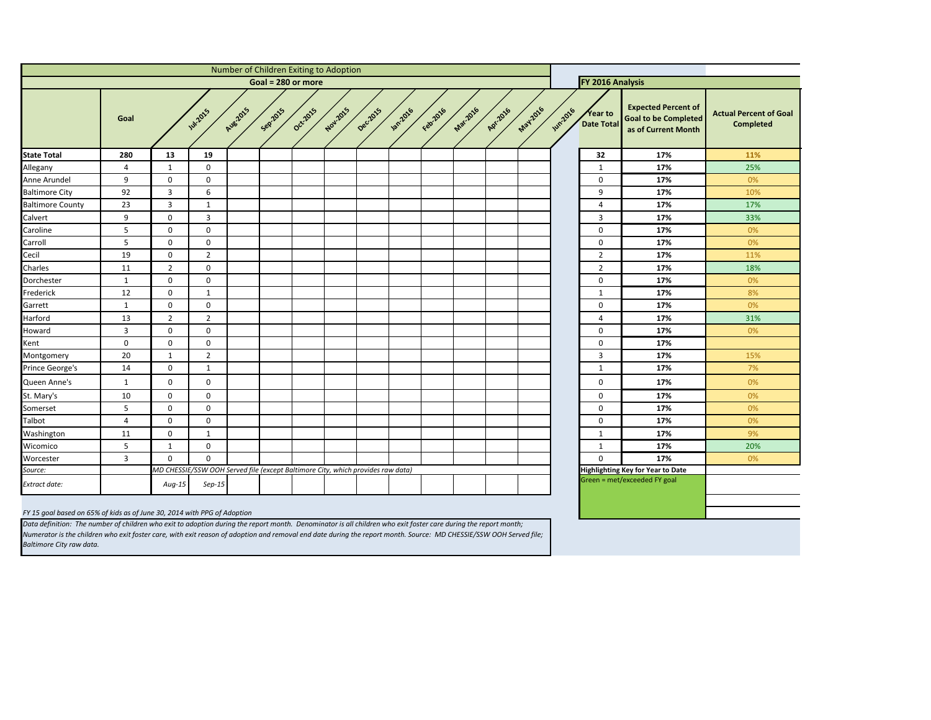| f<br>d:<br>h | <b>Actual Percent of Goal</b><br><b>Completed</b> |
|--------------|---------------------------------------------------|
|              | 11%                                               |
|              | 25%                                               |
|              | 0%                                                |
|              | 10%                                               |
|              | 17%                                               |
|              | 33%                                               |
|              | 0%                                                |
|              | 0%                                                |
|              | 11%                                               |
|              | 18%                                               |
|              | 0%                                                |
|              | 8%                                                |
|              | 0%                                                |
|              | 31%                                               |
|              | 0%                                                |
|              |                                                   |
|              | 15%                                               |
|              | 7%                                                |
|              | 0%                                                |
|              | 0%                                                |
|              | 0%                                                |
|              | 0%                                                |
|              | 9%                                                |
|              | 20%                                               |
|              | 0%                                                |
|              |                                                   |
|              |                                                   |
|              |                                                   |
|              |                                                   |
|              |                                                   |

<span id="page-9-0"></span>

|                         |                |                                                                                 |                |          |         | Number of Children Exiting to Adoption |          |          |                 |          |                  |          |                 |                                          |                       |                                                                                  |                                |
|-------------------------|----------------|---------------------------------------------------------------------------------|----------------|----------|---------|----------------------------------------|----------|----------|-----------------|----------|------------------|----------|-----------------|------------------------------------------|-----------------------|----------------------------------------------------------------------------------|--------------------------------|
| Goal = $280$ or more    |                |                                                                                 |                |          |         |                                        |          |          |                 |          | FY 2016 Analysis |          |                 |                                          |                       |                                                                                  |                                |
|                         | Goal           |                                                                                 | <b>1</b> 2015  | Aug.2015 | Seprats | Oct-2015                               | Nov-2015 | Decilors | <b>13012016</b> | Febricio | Mar-2016         | Apr.2016 | <b>May 2016</b> | <b>JUN2016</b>                           | Year to<br>Date Total | <b>Expected Percent of</b><br><b>Goal to be Completed</b><br>as of Current Month | <b>Actual Percer</b><br>Comple |
| <b>State Total</b>      | 280            | 13                                                                              | 19             |          |         |                                        |          |          |                 |          |                  |          |                 |                                          | 32                    | 17%                                                                              | 11%                            |
| Allegany                | 4              | $\mathbf{1}$                                                                    | $\mathbf 0$    |          |         |                                        |          |          |                 |          |                  |          |                 |                                          | $\mathbf{1}$          | 17%                                                                              | 25%                            |
| Anne Arundel            | 9              | $\mathbf 0$                                                                     | $\mathbf 0$    |          |         |                                        |          |          |                 |          |                  |          |                 |                                          | $\mathbf 0$           | 17%                                                                              | 0%                             |
| <b>Baltimore City</b>   | 92             | $\overline{3}$                                                                  | 6              |          |         |                                        |          |          |                 |          |                  |          |                 |                                          | 9                     | 17%                                                                              | 10%                            |
| <b>Baltimore County</b> | 23             | $\overline{3}$                                                                  | $\mathbf{1}$   |          |         |                                        |          |          |                 |          |                  |          |                 |                                          | $\overline{4}$        | 17%                                                                              | 17%                            |
| Calvert                 | 9              | 0                                                                               | 3              |          |         |                                        |          |          |                 |          |                  |          |                 |                                          | $\mathbf{3}$          | 17%                                                                              | 33%                            |
| Caroline                | 5              | 0                                                                               | $\mathbf 0$    |          |         |                                        |          |          |                 |          |                  |          |                 |                                          | $\mathbf 0$           | 17%                                                                              | 0%                             |
| Carroll                 | 5              | 0                                                                               | $\mathbf{0}$   |          |         |                                        |          |          |                 |          |                  |          |                 |                                          | $\mathbf 0$           | 17%                                                                              | 0%                             |
| Cecil                   | 19             | 0                                                                               | $\overline{2}$ |          |         |                                        |          |          |                 |          |                  |          |                 |                                          | $\overline{2}$        | 17%                                                                              | 11%                            |
| Charles                 | 11             | $\overline{2}$                                                                  | $\mathbf 0$    |          |         |                                        |          |          |                 |          |                  |          |                 |                                          | $\overline{2}$        | 17%                                                                              | 18%                            |
| Dorchester              | $\mathbf{1}$   | 0                                                                               | $\mathbf{0}$   |          |         |                                        |          |          |                 |          |                  |          |                 |                                          | $\mathbf 0$           | 17%                                                                              | 0%                             |
| Frederick               | 12             | 0                                                                               | $\mathbf{1}$   |          |         |                                        |          |          |                 |          |                  |          |                 |                                          | $\mathbf{1}$          | 17%                                                                              | 8%                             |
| Garrett                 | $\mathbf{1}$   | 0                                                                               | $\mathbf{0}$   |          |         |                                        |          |          |                 |          |                  |          |                 |                                          | $\mathbf 0$           | 17%                                                                              | 0%                             |
| Harford                 | 13             | $2^{\circ}$                                                                     | $2^{\circ}$    |          |         |                                        |          |          |                 |          |                  |          |                 |                                          | $\overline{4}$        | 17%                                                                              | 31%                            |
| Howard                  | 3              | 0                                                                               | $\mathbf 0$    |          |         |                                        |          |          |                 |          |                  |          |                 |                                          | $\mathbf 0$           | 17%                                                                              | 0%                             |
| Kent                    | $\mathbf 0$    | 0                                                                               | $\mathbf 0$    |          |         |                                        |          |          |                 |          |                  |          |                 |                                          | $\boldsymbol{0}$      | 17%                                                                              |                                |
| Montgomery              | 20             | $\mathbf{1}$                                                                    | $2^{\circ}$    |          |         |                                        |          |          |                 |          |                  |          |                 |                                          | $\mathbf{3}$          | 17%                                                                              | 15%                            |
| Prince George's         | 14             | 0                                                                               | 1              |          |         |                                        |          |          |                 |          |                  |          |                 |                                          | $\mathbf{1}$          | 17%                                                                              | 7%                             |
| Queen Anne's            | $\mathbf{1}$   | 0                                                                               | $\mathbf 0$    |          |         |                                        |          |          |                 |          |                  |          |                 |                                          | $\mathbf 0$           | 17%                                                                              | 0%                             |
| St. Mary's              | 10             | $\mathbf 0$                                                                     | $\mathbf 0$    |          |         |                                        |          |          |                 |          |                  |          |                 |                                          | $\mathbf 0$           | 17%                                                                              | 0%                             |
| Somerset                | 5              | 0                                                                               | 0              |          |         |                                        |          |          |                 |          |                  |          |                 |                                          | $\mathbf 0$           | 17%                                                                              | 0%                             |
| Talbot                  | 4              | 0                                                                               | $\mathbf{0}$   |          |         |                                        |          |          |                 |          |                  |          |                 |                                          | $\mathbf 0$           | 17%                                                                              | 0%                             |
| Washington              | 11             | 0                                                                               | $\mathbf{1}$   |          |         |                                        |          |          |                 |          |                  |          |                 |                                          | $\mathbf{1}$          | 17%                                                                              | 9%                             |
| Wicomico                | 5              | 1                                                                               | $\mathbf 0$    |          |         |                                        |          |          |                 |          |                  |          |                 |                                          | $\mathbf{1}$          | 17%                                                                              | 20%                            |
| Worcester               | $\overline{3}$ | $\mathbf 0$                                                                     | $\mathbf{0}$   |          |         |                                        |          |          |                 |          |                  |          |                 |                                          | $\mathbf 0$           | 17%                                                                              | 0%                             |
| Source:                 |                | MD CHESSIE/SSW OOH Served file (except Baltimore City, which provides raw data) |                |          |         |                                        |          |          |                 |          |                  |          |                 | <b>Highlighting Key for Year to Date</b> |                       |                                                                                  |                                |
| <b>Extract date:</b>    |                | $Aug-15$                                                                        | $Sep-15$       |          |         |                                        |          |          |                 |          |                  |          |                 |                                          |                       | Green = met/exceeded FY goal                                                     |                                |

## *FY 15 goal based on 65% of kids as of June 30, 2014 with PPG of Adoption*

*Data definition: The number of children who exit to adoption during the report month. Denominator is all children who exit foster care during the report month; Numerator is the children who exit foster care, with exit reason of adoption and removal end date during the report month. Source: MD CHESSIE/SSW OOH Served file; Baltimore City raw data.*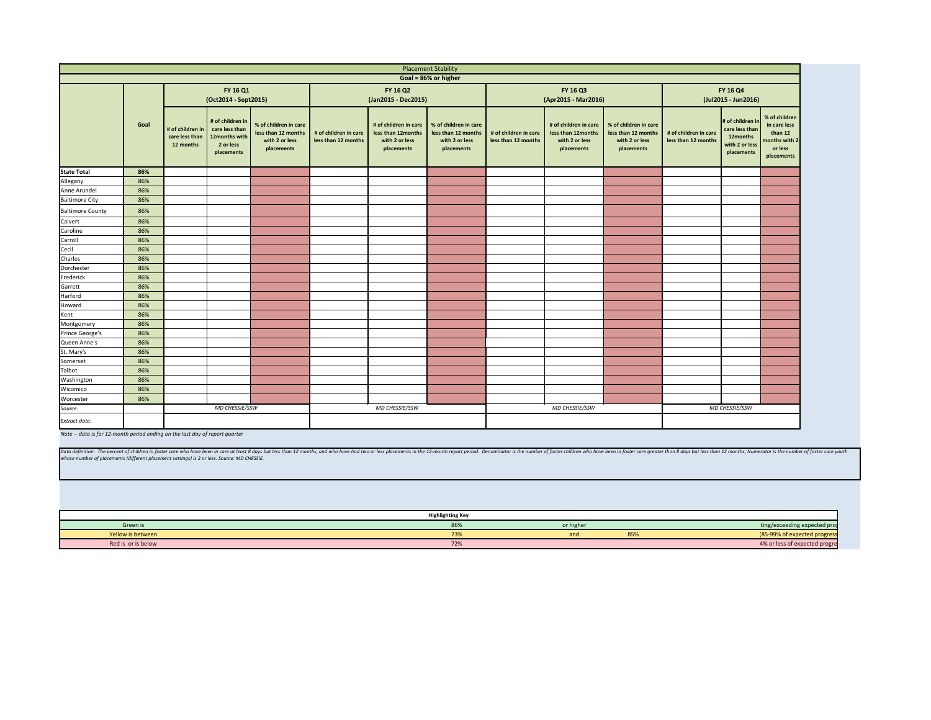Data definition: The percent of children in foster care who have been in care at least 8 days but less than 12 months, and who have had two or less placements in the 12-month report period. Denominator is the number of fos *whose number of placements (different placement settings) is 2 or less. Source: MD CHESSIE.*

<span id="page-10-0"></span>

|                         |      |                                                 |                                                                                |                                                                              |                                              |                                                                             | <b>Placement Stability</b>                                                   |                                              |                                                                           |
|-------------------------|------|-------------------------------------------------|--------------------------------------------------------------------------------|------------------------------------------------------------------------------|----------------------------------------------|-----------------------------------------------------------------------------|------------------------------------------------------------------------------|----------------------------------------------|---------------------------------------------------------------------------|
|                         |      |                                                 |                                                                                |                                                                              |                                              |                                                                             | Goal = 86% or higher                                                         |                                              |                                                                           |
|                         |      | FY 16 Q1<br>(Oct2014 - Sept2015)                |                                                                                |                                                                              |                                              | FY 16 Q2<br>(Jan2015 - Dec2015)                                             | FY 16 Q3<br>(Apr2015 - Mar20                                                 |                                              |                                                                           |
|                         | Goal | # of children in<br>care less than<br>12 months | # of children in<br>care less than<br>12months with<br>2 or less<br>placements | % of children in care<br>less than 12 months<br>with 2 or less<br>placements | # of children in care<br>less than 12 months | # of children in care<br>less than 12months<br>with 2 or less<br>placements | % of children in care<br>less than 12 months<br>with 2 or less<br>placements | # of children in care<br>less than 12 months | # of children in car<br>less than 12month<br>with 2 or less<br>placements |
| <b>State Total</b>      | 86%  |                                                 |                                                                                |                                                                              |                                              |                                                                             |                                                                              |                                              |                                                                           |
| Allegany                | 86%  |                                                 |                                                                                |                                                                              |                                              |                                                                             |                                                                              |                                              |                                                                           |
| Anne Arundel            | 86%  |                                                 |                                                                                |                                                                              |                                              |                                                                             |                                                                              |                                              |                                                                           |
| <b>Baltimore City</b>   | 86%  |                                                 |                                                                                |                                                                              |                                              |                                                                             |                                                                              |                                              |                                                                           |
| <b>Baltimore County</b> | 86%  |                                                 |                                                                                |                                                                              |                                              |                                                                             |                                                                              |                                              |                                                                           |
| Calvert                 | 86%  |                                                 |                                                                                |                                                                              |                                              |                                                                             |                                                                              |                                              |                                                                           |
| Caroline                | 86%  |                                                 |                                                                                |                                                                              |                                              |                                                                             |                                                                              |                                              |                                                                           |
| Carroll                 | 86%  |                                                 |                                                                                |                                                                              |                                              |                                                                             |                                                                              |                                              |                                                                           |
| Cecil                   | 86%  |                                                 |                                                                                |                                                                              |                                              |                                                                             |                                                                              |                                              |                                                                           |
| Charles                 | 86%  |                                                 |                                                                                |                                                                              |                                              |                                                                             |                                                                              |                                              |                                                                           |
| Dorchester              | 86%  |                                                 |                                                                                |                                                                              |                                              |                                                                             |                                                                              |                                              |                                                                           |
| Frederick               | 86%  |                                                 |                                                                                |                                                                              |                                              |                                                                             |                                                                              |                                              |                                                                           |
| Garrett                 | 86%  |                                                 |                                                                                |                                                                              |                                              |                                                                             |                                                                              |                                              |                                                                           |
| Harford                 | 86%  |                                                 |                                                                                |                                                                              |                                              |                                                                             |                                                                              |                                              |                                                                           |
| Howard                  | 86%  |                                                 |                                                                                |                                                                              |                                              |                                                                             |                                                                              |                                              |                                                                           |
| Kent                    | 86%  |                                                 |                                                                                |                                                                              |                                              |                                                                             |                                                                              |                                              |                                                                           |
| Montgomery              | 86%  |                                                 |                                                                                |                                                                              |                                              |                                                                             |                                                                              |                                              |                                                                           |
| Prince George's         | 86%  |                                                 |                                                                                |                                                                              |                                              |                                                                             |                                                                              |                                              |                                                                           |
| Queen Anne's            | 86%  |                                                 |                                                                                |                                                                              |                                              |                                                                             |                                                                              |                                              |                                                                           |
| St. Mary's              | 86%  |                                                 |                                                                                |                                                                              |                                              |                                                                             |                                                                              |                                              |                                                                           |
| Somerset                | 86%  |                                                 |                                                                                |                                                                              |                                              |                                                                             |                                                                              |                                              |                                                                           |
| Talbot                  | 86%  |                                                 |                                                                                |                                                                              |                                              |                                                                             |                                                                              |                                              |                                                                           |
| Washington              | 86%  |                                                 |                                                                                |                                                                              |                                              |                                                                             |                                                                              |                                              |                                                                           |
| Wicomico                | 86%  |                                                 |                                                                                |                                                                              |                                              |                                                                             |                                                                              |                                              |                                                                           |
| Worcester               | 86%  |                                                 |                                                                                |                                                                              |                                              |                                                                             |                                                                              |                                              |                                                                           |
| Source:                 |      |                                                 | MD CHESSIE/SSW                                                                 |                                                                              |                                              | MD CHESSIE/SSW                                                              |                                                                              |                                              | MD CHESSIE/SSW                                                            |
| Extract date:           |      |                                                 |                                                                                |                                                                              |                                              |                                                                             |                                                                              |                                              |                                                                           |

| ity                                                  |                                              |                                                                                                                                                                             |                                                                              |                                              |                                                                                |                                                                                    |  |  |
|------------------------------------------------------|----------------------------------------------|-----------------------------------------------------------------------------------------------------------------------------------------------------------------------------|------------------------------------------------------------------------------|----------------------------------------------|--------------------------------------------------------------------------------|------------------------------------------------------------------------------------|--|--|
| her                                                  |                                              |                                                                                                                                                                             |                                                                              |                                              |                                                                                |                                                                                    |  |  |
|                                                      |                                              | FY 16 Q3<br>(Apr2015 - Mar2016)                                                                                                                                             | FY 16 Q4<br>(Jul2015 - Jun2016)                                              |                                              |                                                                                |                                                                                    |  |  |
| Idren in care<br>n 12 months<br>2 or less<br>cements | # of children in care<br>less than 12 months | # of children in care<br>less than 12months<br>with 2 or less<br>placements                                                                                                 | % of children in care<br>less than 12 months<br>with 2 or less<br>placements | # of children in care<br>less than 12 months | # of children in<br>care less than<br>12months<br>with 2 or less<br>placements | % of children<br>in care less<br>than 12<br>months with 2<br>or less<br>placements |  |  |
|                                                      |                                              |                                                                                                                                                                             |                                                                              |                                              |                                                                                |                                                                                    |  |  |
|                                                      |                                              |                                                                                                                                                                             |                                                                              |                                              |                                                                                |                                                                                    |  |  |
|                                                      |                                              |                                                                                                                                                                             |                                                                              |                                              |                                                                                |                                                                                    |  |  |
|                                                      |                                              |                                                                                                                                                                             |                                                                              |                                              |                                                                                |                                                                                    |  |  |
|                                                      |                                              |                                                                                                                                                                             |                                                                              |                                              |                                                                                |                                                                                    |  |  |
|                                                      |                                              |                                                                                                                                                                             |                                                                              |                                              |                                                                                |                                                                                    |  |  |
|                                                      |                                              |                                                                                                                                                                             |                                                                              |                                              |                                                                                |                                                                                    |  |  |
|                                                      |                                              |                                                                                                                                                                             |                                                                              |                                              |                                                                                |                                                                                    |  |  |
|                                                      |                                              |                                                                                                                                                                             |                                                                              |                                              |                                                                                |                                                                                    |  |  |
|                                                      |                                              |                                                                                                                                                                             |                                                                              |                                              |                                                                                |                                                                                    |  |  |
|                                                      |                                              |                                                                                                                                                                             |                                                                              |                                              |                                                                                |                                                                                    |  |  |
|                                                      |                                              |                                                                                                                                                                             |                                                                              |                                              |                                                                                |                                                                                    |  |  |
|                                                      |                                              |                                                                                                                                                                             |                                                                              |                                              |                                                                                |                                                                                    |  |  |
|                                                      |                                              |                                                                                                                                                                             |                                                                              |                                              |                                                                                |                                                                                    |  |  |
|                                                      |                                              |                                                                                                                                                                             |                                                                              |                                              |                                                                                |                                                                                    |  |  |
|                                                      |                                              |                                                                                                                                                                             |                                                                              |                                              |                                                                                |                                                                                    |  |  |
|                                                      |                                              |                                                                                                                                                                             |                                                                              |                                              |                                                                                |                                                                                    |  |  |
|                                                      |                                              |                                                                                                                                                                             |                                                                              |                                              |                                                                                |                                                                                    |  |  |
|                                                      |                                              | MD CHESSIE/SSW                                                                                                                                                              |                                                                              |                                              | MD CHESSIE/SSW                                                                 |                                                                                    |  |  |
|                                                      |                                              |                                                                                                                                                                             |                                                                              |                                              |                                                                                |                                                                                    |  |  |
|                                                      |                                              |                                                                                                                                                                             |                                                                              |                                              |                                                                                |                                                                                    |  |  |
|                                                      |                                              | eport period. Denominator is the number of foster children who have been in foster care greater than 8 days but less than 12 months; Numerator is the number of foster care |                                                                              |                                              |                                                                                |                                                                                    |  |  |
|                                                      |                                              |                                                                                                                                                                             |                                                                              |                                              |                                                                                |                                                                                    |  |  |
|                                                      |                                              |                                                                                                                                                                             |                                                                              |                                              |                                                                                |                                                                                    |  |  |
|                                                      |                                              |                                                                                                                                                                             |                                                                              |                                              |                                                                                |                                                                                    |  |  |
| ing Key                                              |                                              |                                                                                                                                                                             |                                                                              |                                              |                                                                                |                                                                                    |  |  |
| 86%                                                  |                                              | or higher                                                                                                                                                                   |                                                                              |                                              |                                                                                | ting/exceeding expected pro                                                        |  |  |
| 73%<br>72%                                           |                                              | and                                                                                                                                                                         | 85%                                                                          |                                              |                                                                                | 85-99% of expected progres<br>4% or less of expected progre                        |  |  |
|                                                      |                                              |                                                                                                                                                                             |                                                                              |                                              |                                                                                |                                                                                    |  |  |

|                    | <b>Highlighting Key</b> |          |     |                               |
|--------------------|-------------------------|----------|-----|-------------------------------|
| Green is           | 86%                     | or highe |     | ting/exceeding expected pro   |
| Yellow is between  | 73%                     | dilu     | 85% | 85-99%<br>o of expect         |
| Red is or is below | 72%                     |          |     | 4% or less of expected progre |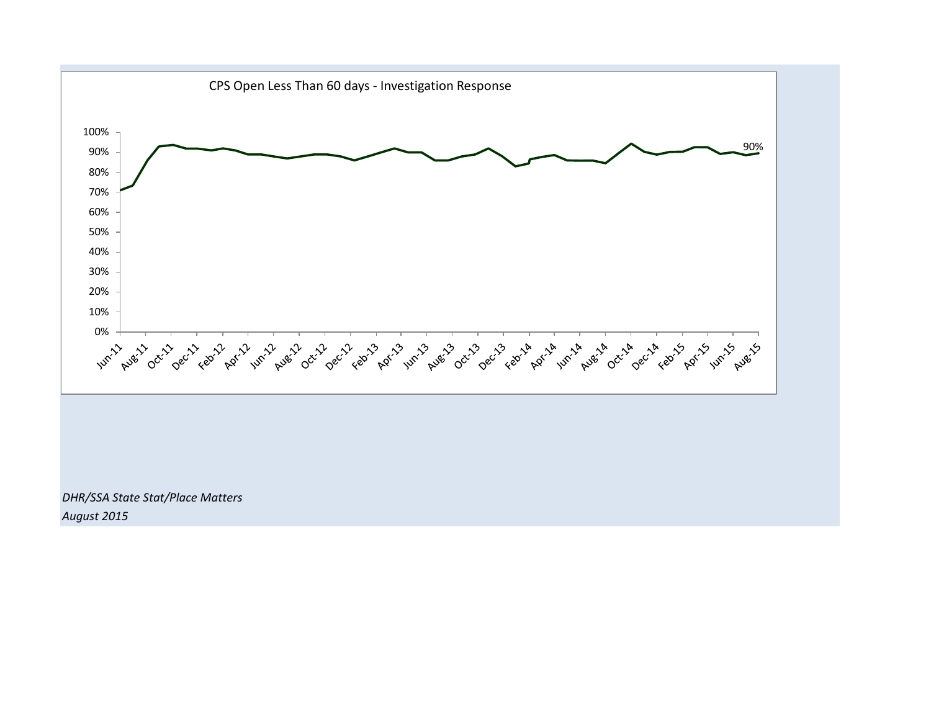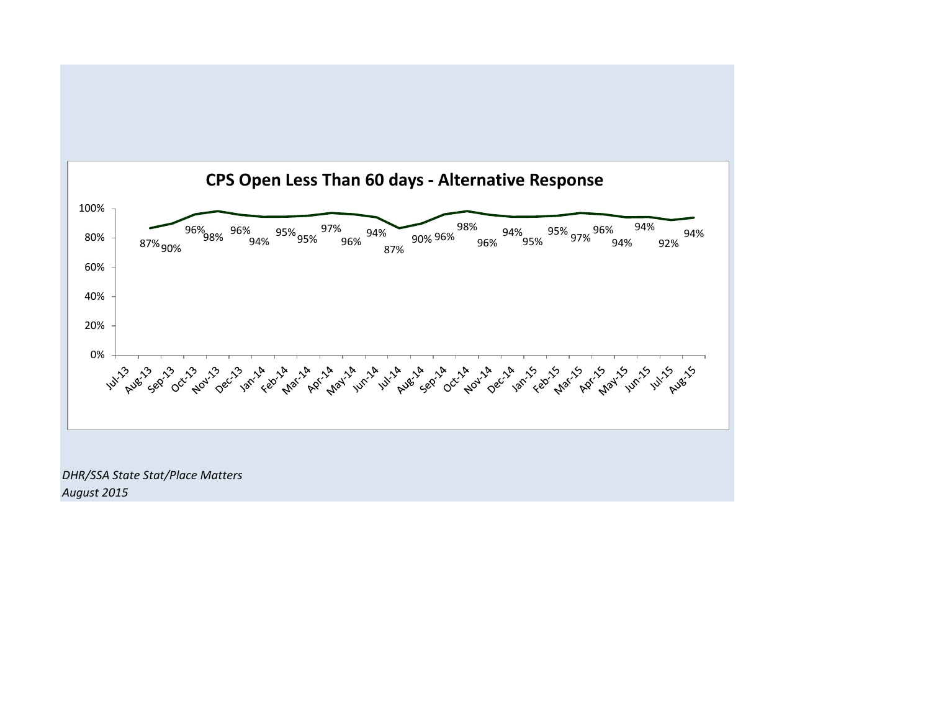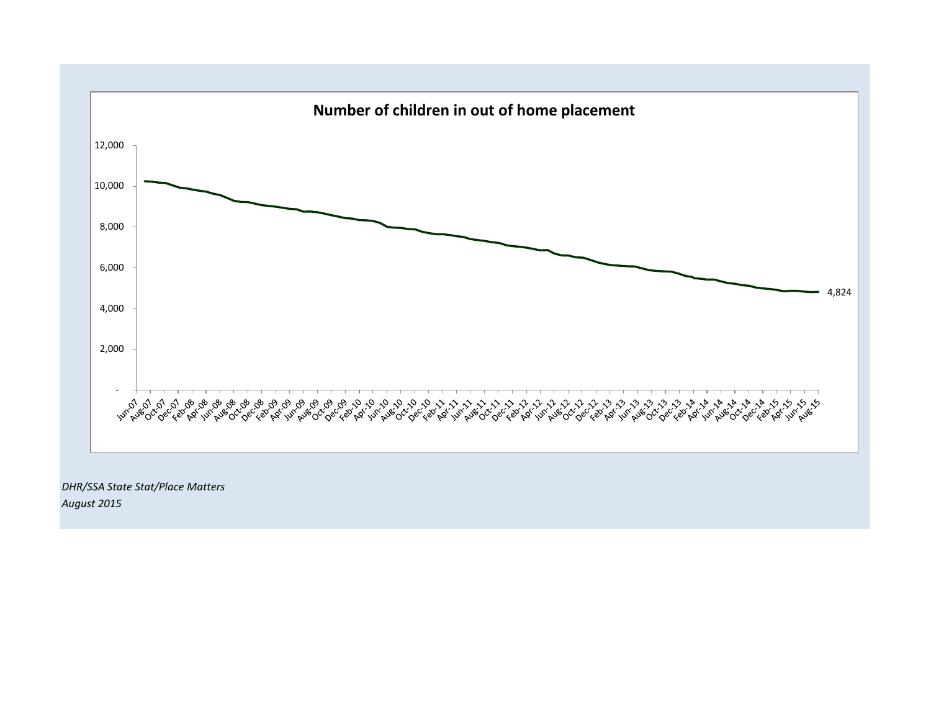

*August 2015*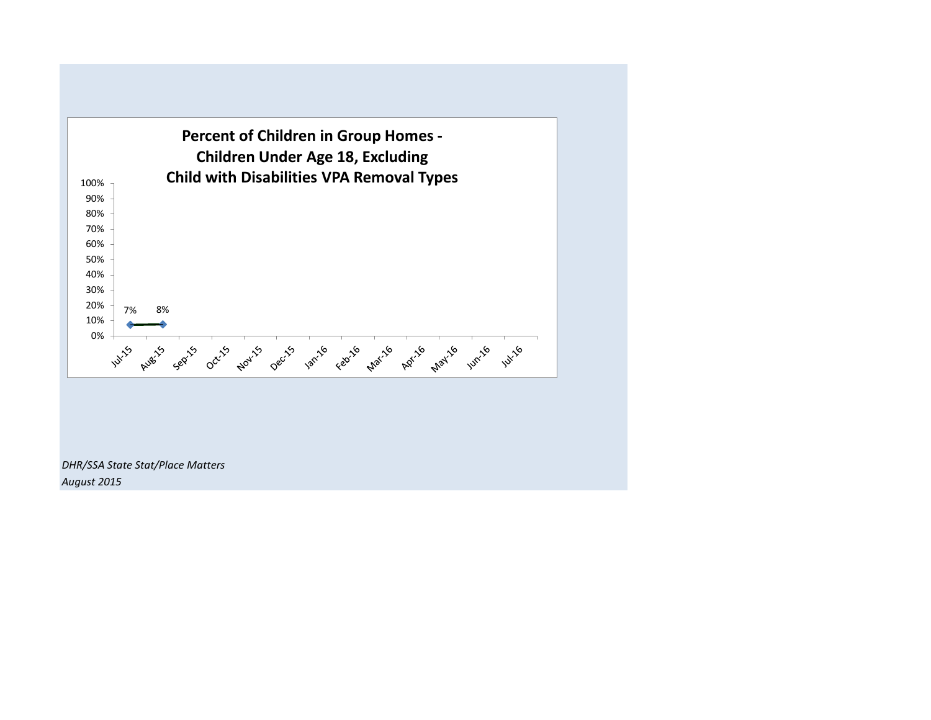

*DHR/SSA State Stat/Place Matters August 2015*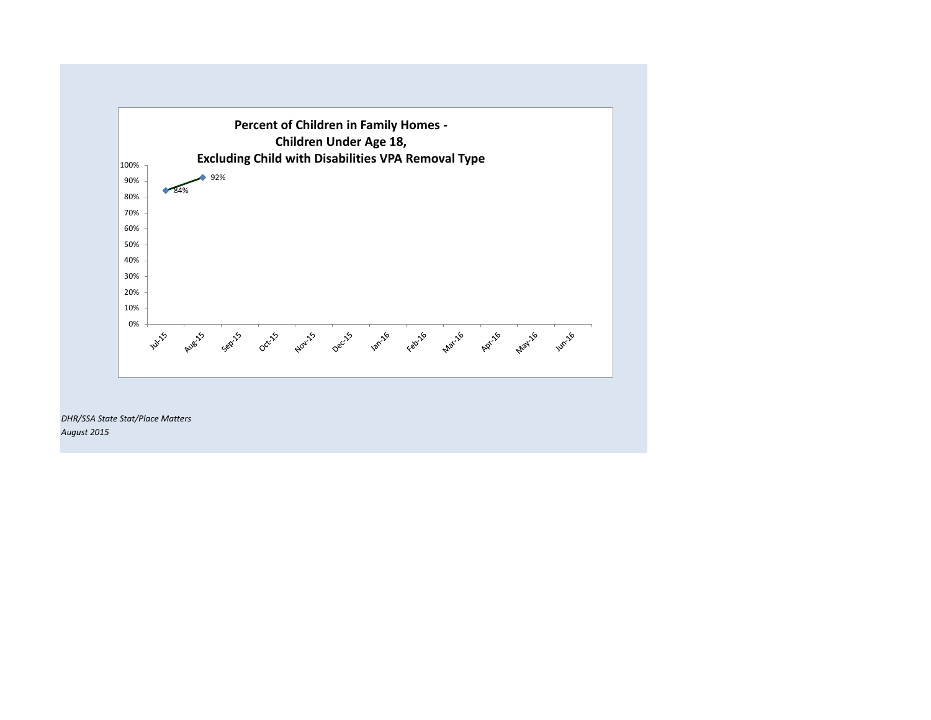

*DHR/SSA State Stat/Place Matters August 2015*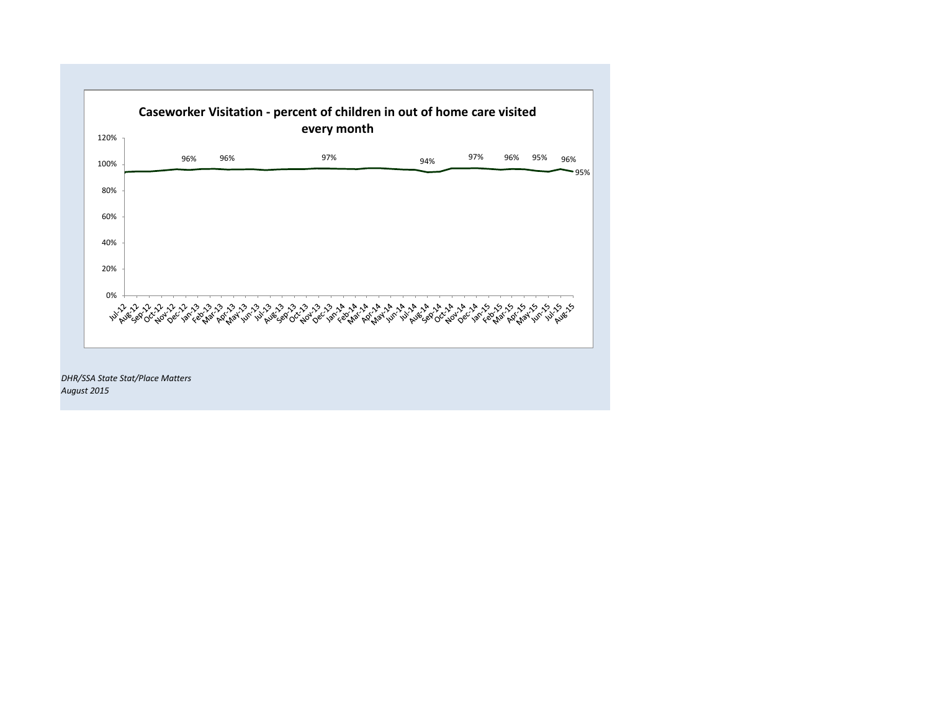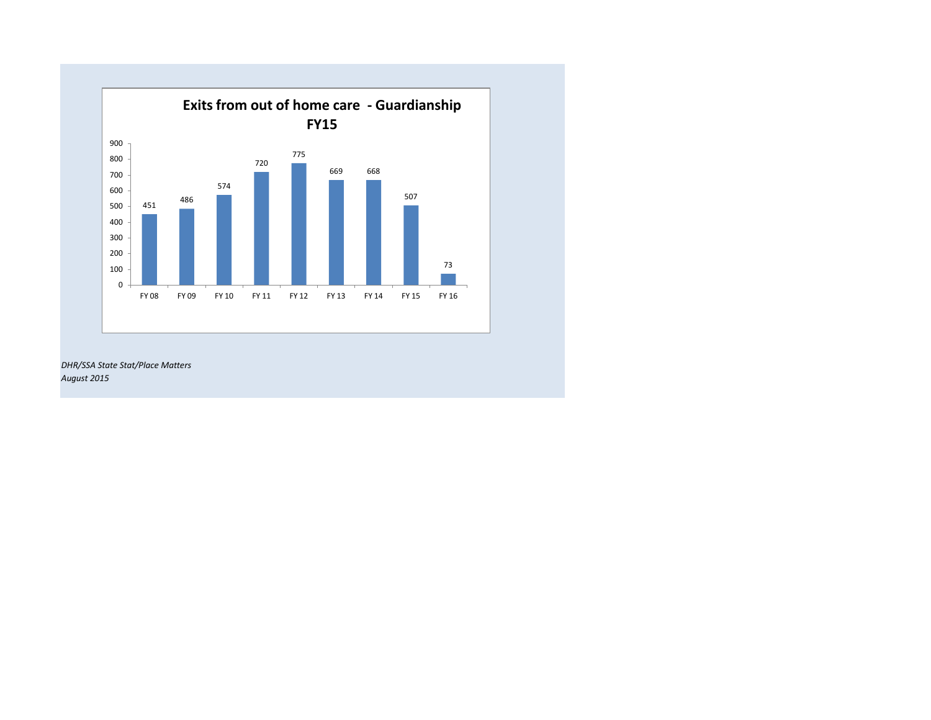

*DHR/SSA State Stat/Place Matters August 2015*